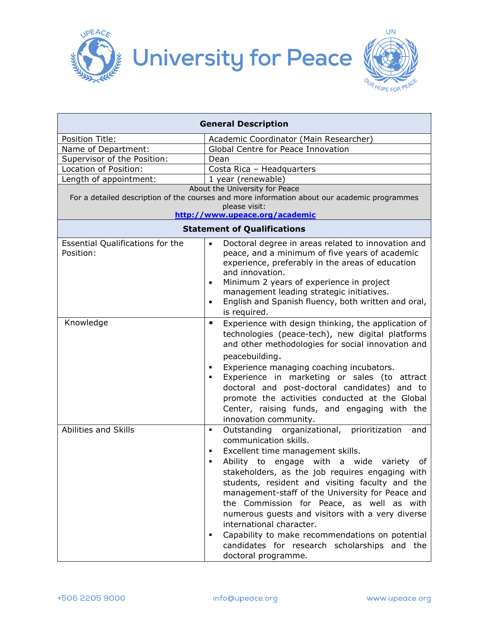



| <b>General Description</b>                                                                                                                                                        |                                                                                                                                                                                                                                                                                                                                                                                                                                                                                                                                                                                                                  |  |
|-----------------------------------------------------------------------------------------------------------------------------------------------------------------------------------|------------------------------------------------------------------------------------------------------------------------------------------------------------------------------------------------------------------------------------------------------------------------------------------------------------------------------------------------------------------------------------------------------------------------------------------------------------------------------------------------------------------------------------------------------------------------------------------------------------------|--|
| Position Title:                                                                                                                                                                   | Academic Coordinator (Main Researcher)                                                                                                                                                                                                                                                                                                                                                                                                                                                                                                                                                                           |  |
| Name of Department:                                                                                                                                                               | Global Centre for Peace Innovation                                                                                                                                                                                                                                                                                                                                                                                                                                                                                                                                                                               |  |
| Supervisor of the Position:                                                                                                                                                       | Dean                                                                                                                                                                                                                                                                                                                                                                                                                                                                                                                                                                                                             |  |
| Location of Position:                                                                                                                                                             | Costa Rica - Headquarters                                                                                                                                                                                                                                                                                                                                                                                                                                                                                                                                                                                        |  |
| Length of appointment:                                                                                                                                                            | 1 year (renewable)                                                                                                                                                                                                                                                                                                                                                                                                                                                                                                                                                                                               |  |
| About the University for Peace<br>For a detailed description of the courses and more information about our academic programmes<br>please visit:<br>http://www.upeace.org/academic |                                                                                                                                                                                                                                                                                                                                                                                                                                                                                                                                                                                                                  |  |
| <b>Statement of Qualifications</b>                                                                                                                                                |                                                                                                                                                                                                                                                                                                                                                                                                                                                                                                                                                                                                                  |  |
| Essential Qualifications for the<br>Position:                                                                                                                                     | Doctoral degree in areas related to innovation and<br>$\bullet$<br>peace, and a minimum of five years of academic<br>experience, preferably in the areas of education<br>and innovation.<br>Minimum 2 years of experience in project<br>$\bullet$<br>management leading strategic initiatives.<br>English and Spanish fluency, both written and oral,<br>$\bullet$<br>is required.                                                                                                                                                                                                                               |  |
| Knowledge                                                                                                                                                                         | Experience with design thinking, the application of<br>$\blacksquare$<br>technologies (peace-tech), new digital platforms<br>and other methodologies for social innovation and<br>peacebuilding.<br>Experience managing coaching incubators.<br>٠<br>Experience in marketing or sales (to attract<br>٠<br>doctoral and post-doctoral candidates) and to<br>promote the activities conducted at the Global<br>Center, raising funds, and engaging with the<br>innovation community.                                                                                                                               |  |
| Abilities and Skills                                                                                                                                                              | Outstanding organizational, prioritization<br>and<br>$\blacksquare$<br>communication skills.<br>Excellent time management skills.<br>٠<br>Ability to engage with a wide variety<br>of<br>٠<br>stakeholders, as the job requires engaging with<br>students, resident and visiting faculty and the<br>management-staff of the University for Peace and<br>the Commission for Peace, as well as with<br>numerous guests and visitors with a very diverse<br>international character.<br>Capability to make recommendations on potential<br>٠<br>candidates for research scholarships and the<br>doctoral programme. |  |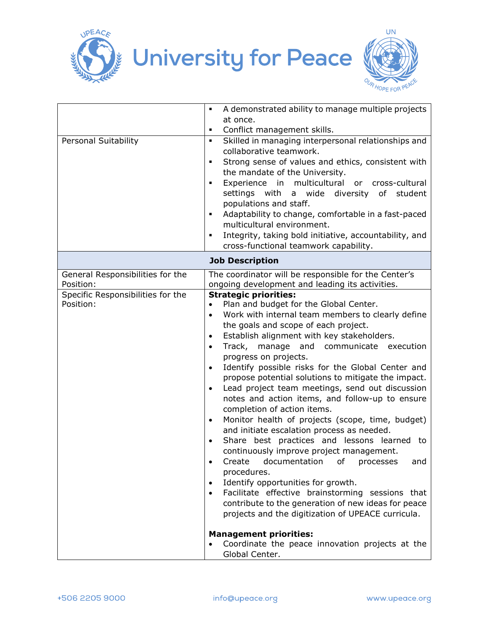



|                                                | A demonstrated ability to manage multiple projects<br>$\blacksquare$                                                                                                                                                                                                                                                                                                                                                                                                                                                                                                                                                                                                                                                                                                                                                                                                                                                                                                                                                                                                                                                                                                                                                             |  |
|------------------------------------------------|----------------------------------------------------------------------------------------------------------------------------------------------------------------------------------------------------------------------------------------------------------------------------------------------------------------------------------------------------------------------------------------------------------------------------------------------------------------------------------------------------------------------------------------------------------------------------------------------------------------------------------------------------------------------------------------------------------------------------------------------------------------------------------------------------------------------------------------------------------------------------------------------------------------------------------------------------------------------------------------------------------------------------------------------------------------------------------------------------------------------------------------------------------------------------------------------------------------------------------|--|
|                                                | at once.                                                                                                                                                                                                                                                                                                                                                                                                                                                                                                                                                                                                                                                                                                                                                                                                                                                                                                                                                                                                                                                                                                                                                                                                                         |  |
|                                                | Conflict management skills.<br>٠                                                                                                                                                                                                                                                                                                                                                                                                                                                                                                                                                                                                                                                                                                                                                                                                                                                                                                                                                                                                                                                                                                                                                                                                 |  |
| Personal Suitability                           | Skilled in managing interpersonal relationships and<br>$\blacksquare$<br>collaborative teamwork.<br>Strong sense of values and ethics, consistent with<br>٠<br>the mandate of the University.<br>Experience in multicultural or cross-cultural<br>٠<br>settings with a wide diversity of student<br>populations and staff.<br>Adaptability to change, comfortable in a fast-paced<br>٠<br>multicultural environment.<br>Integrity, taking bold initiative, accountability, and<br>٠<br>cross-functional teamwork capability.                                                                                                                                                                                                                                                                                                                                                                                                                                                                                                                                                                                                                                                                                                     |  |
| <b>Job Description</b>                         |                                                                                                                                                                                                                                                                                                                                                                                                                                                                                                                                                                                                                                                                                                                                                                                                                                                                                                                                                                                                                                                                                                                                                                                                                                  |  |
| General Responsibilities for the               | The coordinator will be responsible for the Center's                                                                                                                                                                                                                                                                                                                                                                                                                                                                                                                                                                                                                                                                                                                                                                                                                                                                                                                                                                                                                                                                                                                                                                             |  |
| Position:                                      | ongoing development and leading its activities.                                                                                                                                                                                                                                                                                                                                                                                                                                                                                                                                                                                                                                                                                                                                                                                                                                                                                                                                                                                                                                                                                                                                                                                  |  |
| Specific Responsibilities for the<br>Position: | <b>Strategic priorities:</b><br>Plan and budget for the Global Center.<br>Work with internal team members to clearly define<br>$\bullet$<br>the goals and scope of each project.<br>Establish alignment with key stakeholders.<br>$\bullet$<br>Track, manage and communicate execution<br>$\bullet$<br>progress on projects.<br>Identify possible risks for the Global Center and<br>$\bullet$<br>propose potential solutions to mitigate the impact.<br>Lead project team meetings, send out discussion<br>$\bullet$<br>notes and action items, and follow-up to ensure<br>completion of action items.<br>Monitor health of projects (scope, time, budget)<br>$\bullet$<br>and initiate escalation process as needed.<br>Share best practices and lessons learned to<br>$\bullet$<br>continuously improve project management.<br>Create documentation of processes<br>and<br>procedures.<br>Identify opportunities for growth.<br>$\bullet$<br>Facilitate effective brainstorming sessions that<br>$\bullet$<br>contribute to the generation of new ideas for peace<br>projects and the digitization of UPEACE curricula.<br><b>Management priorities:</b><br>Coordinate the peace innovation projects at the<br>Global Center. |  |